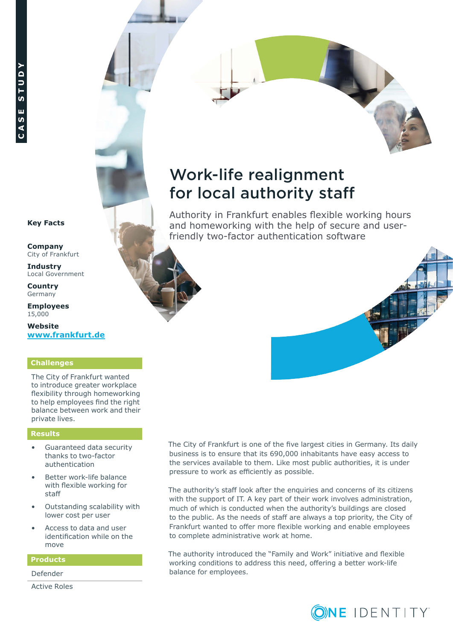# Work-life realignment for local authority staff

Authority in Frankfurt enables flexible working hours and homeworking with the help of secure and userfriendly two-factor authentication software



**Company** City of Frankfurt

**Industry**  Local Government

**Country Germany** 

**Employees** 15,000

**Website [www.frankfurt.de](http://www.frankfurt.de)**

## **Challenges**

The City of Frankfurt wanted to introduce greater workplace flexibility through homeworking to help employees find the right balance between work and their private lives.

#### **Results**

- Guaranteed data security thanks to two-factor authentication
- Better work-life balance with flexible working for staff
- Outstanding scalability with lower cost per user
- Access to data and user identification while on the move

#### **Products**

Defender

Active Roles

The City of Frankfurt is one of the five largest cities in Germany. Its daily business is to ensure that its 690,000 inhabitants have easy access to the services available to them. Like most public authorities, it is under pressure to work as efficiently as possible.

The authority's staff look after the enquiries and concerns of its citizens with the support of IT. A key part of their work involves administration, much of which is conducted when the authority's buildings are closed to the public. As the needs of staff are always a top priority, the City of Frankfurt wanted to offer more flexible working and enable employees to complete administrative work at home.

The authority introduced the "Family and Work" initiative and flexible working conditions to address this need, offering a better work-life balance for employees.



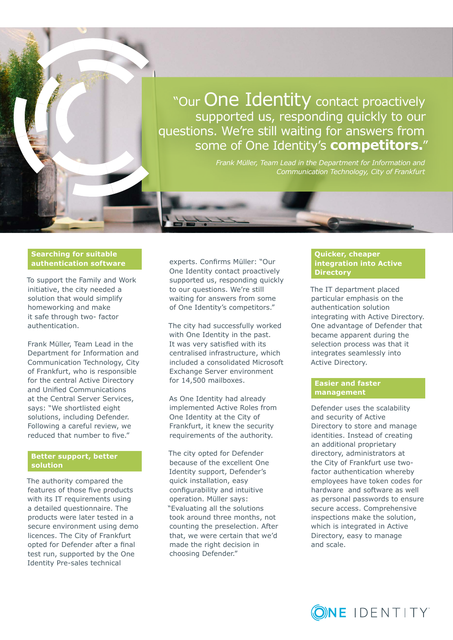

"Our One Identity contact proactively supported us, responding quickly to our questions. We're still waiting for answers from some of One Identity's **competitors.**"

> *Frank Müller, Team Lead in the Department for Information and Communication Technology, City of Frankfurt*

#### **Searching for suitable authentication software**

To support the Family and Work initiative, the city needed a solution that would simplify homeworking and make it safe through two- factor authentication.

Frank Müller, Team Lead in the Department for Information and Communication Technology, City of Frankfurt, who is responsible for the central Active Directory and Unified Communications at the Central Server Services, says: "We shortlisted eight solutions, including Defender. Following a careful review, we reduced that number to five."

#### **Better support, better solution**

The authority compared the features of those five products with its IT requirements using a detailed questionnaire. The products were later tested in a secure environment using demo licences. The City of Frankfurt opted for Defender after a final test run, supported by the One Identity Pre-sales technical

experts. Confirms Müller: "Our One Identity contact proactively supported us, responding quickly to our questions. We're still waiting for answers from some of One Identity's competitors."

The city had successfully worked with One Identity in the past. It was very satisfied with its centralised infrastructure, which included a consolidated Microsoft Exchange Server environment for 14,500 mailboxes.

As One Identity had already implemented Active Roles from One Identity at the City of Frankfurt, it knew the security requirements of the authority.

The city opted for Defender because of the excellent One Identity support, Defender's quick installation, easy configurability and intuitive operation. Müller says: "Evaluating all the solutions took around three months, not counting the preselection. After that, we were certain that we'd made the right decision in choosing Defender."

#### **Quicker, cheaper integration into Active Directory**

The IT department placed particular emphasis on the authentication solution integrating with Active Directory. One advantage of Defender that became apparent during the selection process was that it integrates seamlessly into Active Directory.

### **Easier and faster management**

Defender uses the scalability and security of Active Directory to store and manage identities. Instead of creating an additional proprietary directory, administrators at the City of Frankfurt use twofactor authentication whereby employees have token codes for hardware and software as well as personal passwords to ensure secure access. Comprehensive inspections make the solution, which is integrated in Active Directory, easy to manage and scale.

**ONE IDENTITY**